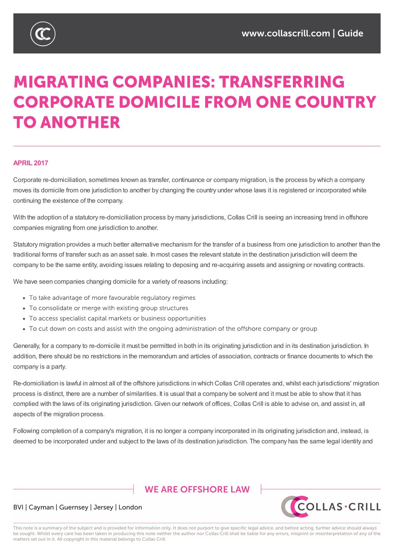# **MIGRATING COMPANIES: TRANSFERRING CORPORATE DOMICILE FROM ONE COUNTRY TO ANOTHER**

#### **APRIL 2017**

Corporate re-domiciliation, sometimes known as transfer, continuance or company migration, is the process by which a company moves its domicile from one jurisdiction to another by changing the country under whose laws it is registered or incorporated while continuing the existence of the company.

With the adoption of a statutory re-domiciliation process by many jurisdictions, Collas Crill is seeing an increasing trend in offshore companies migrating from one jurisdiction to another.

Statutory migration provides a much better alternative mechanism for the transfer of a business from one jurisdiction to another than the traditional forms of transfer such as an asset sale. In most cases the relevant statute in the destination jurisdiction will deem the company to be the same entity, avoiding issues relating to deposing and re-acquiring assets and assigning or novating contracts.

We have seen companies changing domicile for a variety of reasons including:

- To take advantage of more favourable regulatory regimes
- To consolidate or merge with existing group structures
- To access specialist capital markets or business opportunities
- To cut down on costs and assist with the ongoing administration of the offshore company or group

Generally, for a company to re-domicile it must be permitted in both in its originating jurisdiction and in its destination jurisdiction. In addition, there should be no restrictions in the memorandum and articles of association, contracts or finance documents to which the company is a party.

Re-domiciliation is lawful in almost all of the offshore jurisdictions in which Collas Crill operates and, whilst each jurisdictions' migration process is distinct, there are a number of similarities. It is usual that a company be solvent and it must be able to show that it has complied with the laws of its originating jurisdiction. Given our network of offices, Collas Crill is able to advise on, and assist in, all aspects of the migration process.

Following completion of a company's migration, it is no longer a company incorporated in its originating jurisdiction and, instead, is deemed to be incorporated under and subject to the laws of its destination jurisdiction. The company has the same legal identity and

## **WE ARE OFFSHORE I AW**



#### BVI | Cayman | Guernsey | Jersey | London

This note is a summary of the subject and is provided for information only. It does not purport to give specific legal advice, and before acting, further advice should always be sought. Whilst every care has been taken in producing this note neither the author nor Collas Crill shall be liable for any errors, misprint or misinterpretation of any of the matters set out in it. All copyright in this material belongs to Collas Crill.